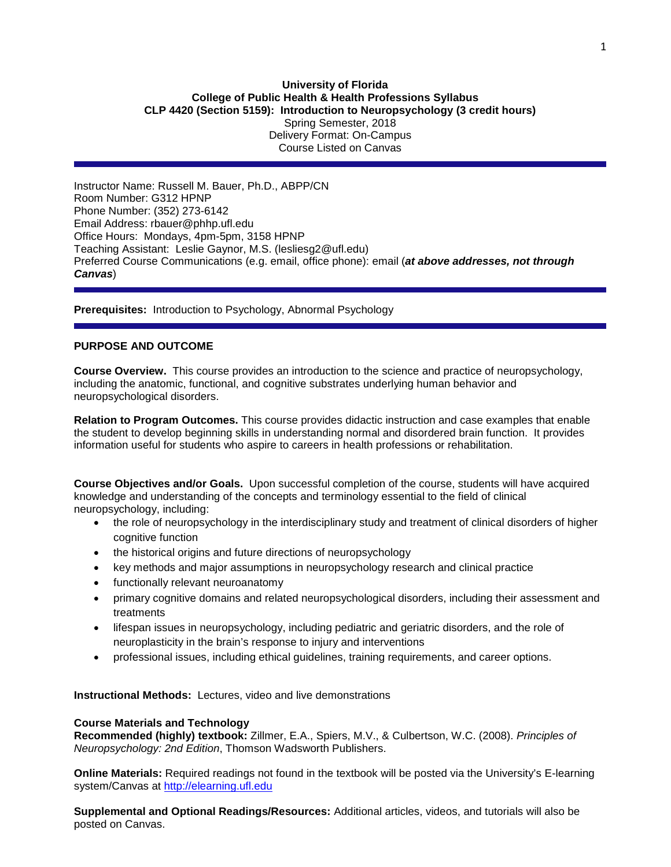## **University of Florida College of Public Health & Health Professions Syllabus CLP 4420 (Section 5159): Introduction to Neuropsychology (3 credit hours)** Spring Semester, 2018 Delivery Format: On-Campus Course Listed on Canvas

Instructor Name: Russell M. Bauer, Ph.D., ABPP/CN Room Number: G312 HPNP Phone Number: (352) 273-6142 Email Address: rbauer@phhp.ufl.edu Office Hours: Mondays, 4pm-5pm, 3158 HPNP Teaching Assistant: Leslie Gaynor, M.S. (lesliesg2@ufl.edu) Preferred Course Communications (e.g. email, office phone): email (*at above addresses, not through Canvas*)

**Prerequisites:** Introduction to Psychology, Abnormal Psychology

# **PURPOSE AND OUTCOME**

**Course Overview.** This course provides an introduction to the science and practice of neuropsychology, including the anatomic, functional, and cognitive substrates underlying human behavior and neuropsychological disorders.

**Relation to Program Outcomes.** This course provides didactic instruction and case examples that enable the student to develop beginning skills in understanding normal and disordered brain function. It provides information useful for students who aspire to careers in health professions or rehabilitation.

**Course Objectives and/or Goals.** Upon successful completion of the course, students will have acquired knowledge and understanding of the concepts and terminology essential to the field of clinical neuropsychology, including:

- the role of neuropsychology in the interdisciplinary study and treatment of clinical disorders of higher cognitive function
- the historical origins and future directions of neuropsychology
- key methods and major assumptions in neuropsychology research and clinical practice
- functionally relevant neuroanatomy
- primary cognitive domains and related neuropsychological disorders, including their assessment and treatments
- lifespan issues in neuropsychology, including pediatric and geriatric disorders, and the role of neuroplasticity in the brain's response to injury and interventions
- professional issues, including ethical guidelines, training requirements, and career options.

**Instructional Methods:** Lectures, video and live demonstrations

#### **Course Materials and Technology**

**Recommended (highly) textbook:** Zillmer, E.A., Spiers, M.V., & Culbertson, W.C. (2008). *Principles of Neuropsychology: 2nd Edition*, Thomson Wadsworth Publishers.

**Online Materials:** Required readings not found in the textbook will be posted via the University's E-learning system/Canvas at [http://elearning.ufl.edu](http://elearning.ufl.edu/)

**Supplemental and Optional Readings/Resources:** Additional articles, videos, and tutorials will also be posted on Canvas.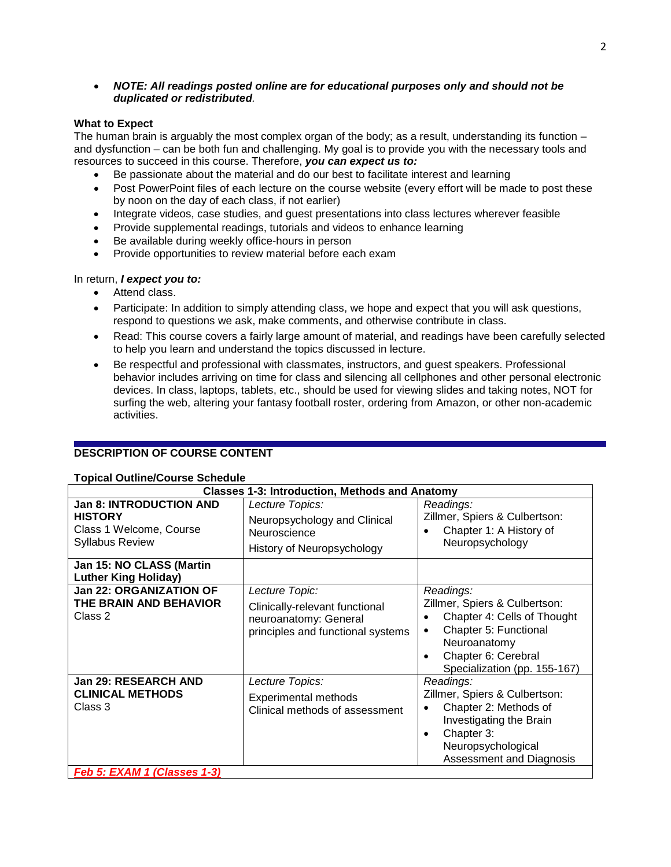## • *NOTE: All readings posted online are for educational purposes only and should not be duplicated or redistributed.*

## **What to Expect**

The human brain is arguably the most complex organ of the body; as a result, understanding its function – and dysfunction – can be both fun and challenging. My goal is to provide you with the necessary tools and resources to succeed in this course. Therefore, *you can expect us to:* 

- Be passionate about the material and do our best to facilitate interest and learning
- Post PowerPoint files of each lecture on the course website (every effort will be made to post these by noon on the day of each class, if not earlier)
- Integrate videos, case studies, and guest presentations into class lectures wherever feasible
- Provide supplemental readings, tutorials and videos to enhance learning
- Be available during weekly office-hours in person
- Provide opportunities to review material before each exam

### In return, *I expect you to:*

- Attend class.
- Participate: In addition to simply attending class, we hope and expect that you will ask questions, respond to questions we ask, make comments, and otherwise contribute in class.
- Read: This course covers a fairly large amount of material, and readings have been carefully selected to help you learn and understand the topics discussed in lecture.
- Be respectful and professional with classmates, instructors, and guest speakers. Professional behavior includes arriving on time for class and silencing all cellphones and other personal electronic devices. In class, laptops, tablets, etc., should be used for viewing slides and taking notes, NOT for surfing the web, altering your fantasy football roster, ordering from Amazon, or other non-academic activities.

# **DESCRIPTION OF COURSE CONTENT**

## **Topical Outline/Course Schedule**

| i opical Outlille/Ooulse Ocheudic                                                                     | <b>Classes 1-3: Introduction, Methods and Anatomy</b>                                                          |                                                                                                                                                                           |  |  |  |  |  |  |  |  |  |  |
|-------------------------------------------------------------------------------------------------------|----------------------------------------------------------------------------------------------------------------|---------------------------------------------------------------------------------------------------------------------------------------------------------------------------|--|--|--|--|--|--|--|--|--|--|
| <b>Jan 8: INTRODUCTION AND</b><br><b>HISTORY</b><br>Class 1 Welcome, Course<br><b>Syllabus Review</b> | Lecture Topics:<br>Neuropsychology and Clinical<br>Neuroscience<br>History of Neuropsychology                  | Readings:<br>Zillmer, Spiers & Culbertson:<br>Chapter 1: A History of<br>Neuropsychology                                                                                  |  |  |  |  |  |  |  |  |  |  |
| Jan 15: NO CLASS (Martin<br><b>Luther King Holiday)</b>                                               |                                                                                                                |                                                                                                                                                                           |  |  |  |  |  |  |  |  |  |  |
| <b>Jan 22: ORGANIZATION OF</b><br>THE BRAIN AND BEHAVIOR<br>Class 2                                   | Lecture Topic:<br>Clinically-relevant functional<br>neuroanatomy: General<br>principles and functional systems | Readings:<br>Zillmer, Spiers & Culbertson:<br>Chapter 4: Cells of Thought<br>Chapter 5: Functional<br>Neuroanatomy<br>Chapter 6: Cerebral<br>Specialization (pp. 155-167) |  |  |  |  |  |  |  |  |  |  |
| Jan 29: RESEARCH AND<br><b>CLINICAL METHODS</b><br>Class 3                                            | Lecture Topics:<br><b>Experimental methods</b><br>Clinical methods of assessment                               | Readings:<br>Zillmer, Spiers & Culbertson:<br>Chapter 2: Methods of<br>Investigating the Brain<br>Chapter 3:<br>Neuropsychological<br>Assessment and Diagnosis            |  |  |  |  |  |  |  |  |  |  |
| Feb 5: EXAM 1 (Classes 1-3)                                                                           |                                                                                                                |                                                                                                                                                                           |  |  |  |  |  |  |  |  |  |  |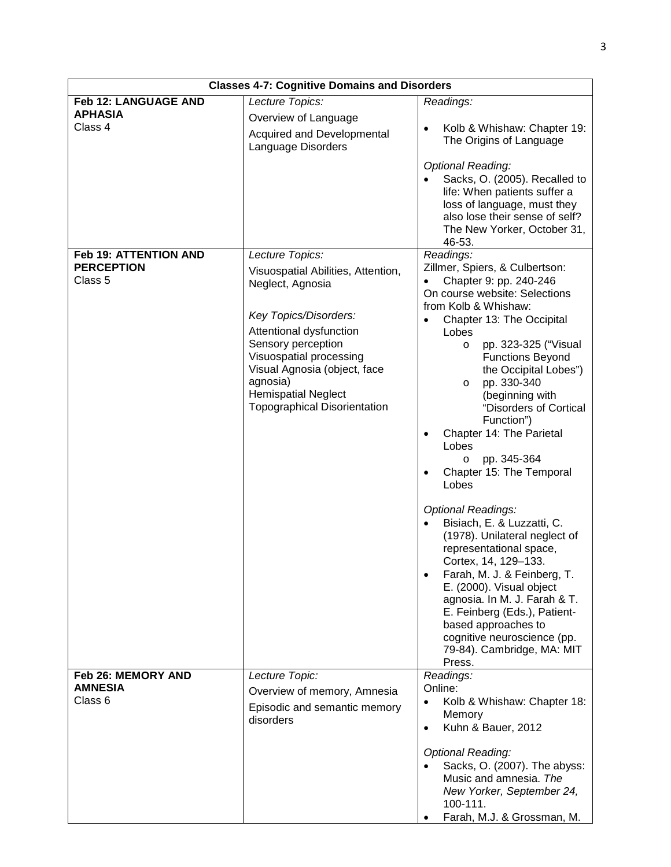| <b>Classes 4-7: Cognitive Domains and Disorders</b>      |                                                                                                                                                                                                                                                                                                 |                                                                                                                                                                                                                                                                                                                                                                                                                                                                                                                                                                                                                                                                                                                                                                                                                                 |  |  |  |  |  |  |  |  |
|----------------------------------------------------------|-------------------------------------------------------------------------------------------------------------------------------------------------------------------------------------------------------------------------------------------------------------------------------------------------|---------------------------------------------------------------------------------------------------------------------------------------------------------------------------------------------------------------------------------------------------------------------------------------------------------------------------------------------------------------------------------------------------------------------------------------------------------------------------------------------------------------------------------------------------------------------------------------------------------------------------------------------------------------------------------------------------------------------------------------------------------------------------------------------------------------------------------|--|--|--|--|--|--|--|--|
| <b>Feb 12: LANGUAGE AND</b><br><b>APHASIA</b><br>Class 4 | Lecture Topics:<br>Overview of Language<br>Acquired and Developmental<br>Language Disorders                                                                                                                                                                                                     | Readings:<br>Kolb & Whishaw: Chapter 19:<br>The Origins of Language<br><b>Optional Reading:</b>                                                                                                                                                                                                                                                                                                                                                                                                                                                                                                                                                                                                                                                                                                                                 |  |  |  |  |  |  |  |  |
|                                                          |                                                                                                                                                                                                                                                                                                 | Sacks, O. (2005). Recalled to<br>life: When patients suffer a<br>loss of language, must they<br>also lose their sense of self?<br>The New Yorker, October 31,<br>46-53.                                                                                                                                                                                                                                                                                                                                                                                                                                                                                                                                                                                                                                                         |  |  |  |  |  |  |  |  |
| Feb 19: ATTENTION AND<br><b>PERCEPTION</b><br>Class 5    | Lecture Topics:<br>Visuospatial Abilities, Attention,<br>Neglect, Agnosia<br>Key Topics/Disorders:<br>Attentional dysfunction<br>Sensory perception<br>Visuospatial processing<br>Visual Agnosia (object, face<br>agnosia)<br><b>Hemispatial Neglect</b><br><b>Topographical Disorientation</b> | Readings:<br>Zillmer, Spiers, & Culbertson:<br>Chapter 9: pp. 240-246<br>On course website: Selections<br>from Kolb & Whishaw:<br>Chapter 13: The Occipital<br>Lobes<br>pp. 323-325 ("Visual<br>$\circ$<br><b>Functions Beyond</b><br>the Occipital Lobes")<br>pp. 330-340<br>$\circ$<br>(beginning with<br>"Disorders of Cortical<br>Function")<br>Chapter 14: The Parietal<br>Lobes<br>pp. 345-364<br>$\circ$<br>Chapter 15: The Temporal<br>Lobes<br><b>Optional Readings:</b><br>Bisiach, E. & Luzzatti, C.<br>$\bullet$<br>(1978). Unilateral neglect of<br>representational space,<br>Cortex, 14, 129-133.<br>Farah, M. J. & Feinberg, T.<br>E. (2000). Visual object<br>agnosia. In M. J. Farah & T.<br>E. Feinberg (Eds.), Patient-<br>based approaches to<br>cognitive neuroscience (pp.<br>79-84). Cambridge, MA: MIT |  |  |  |  |  |  |  |  |
| <b>Feb 26: MEMORY AND</b><br><b>AMNESIA</b><br>Class 6   | Lecture Topic:<br>Overview of memory, Amnesia<br>Episodic and semantic memory<br>disorders                                                                                                                                                                                                      | Press.<br>Readings:<br>Online:<br>Kolb & Whishaw: Chapter 18:<br>$\bullet$<br>Memory<br>Kuhn & Bauer, 2012<br>$\bullet$<br><b>Optional Reading:</b><br>Sacks, O. (2007). The abyss:<br>Music and amnesia. The<br>New Yorker, September 24,<br>100-111.<br>Farah, M.J. & Grossman, M.                                                                                                                                                                                                                                                                                                                                                                                                                                                                                                                                            |  |  |  |  |  |  |  |  |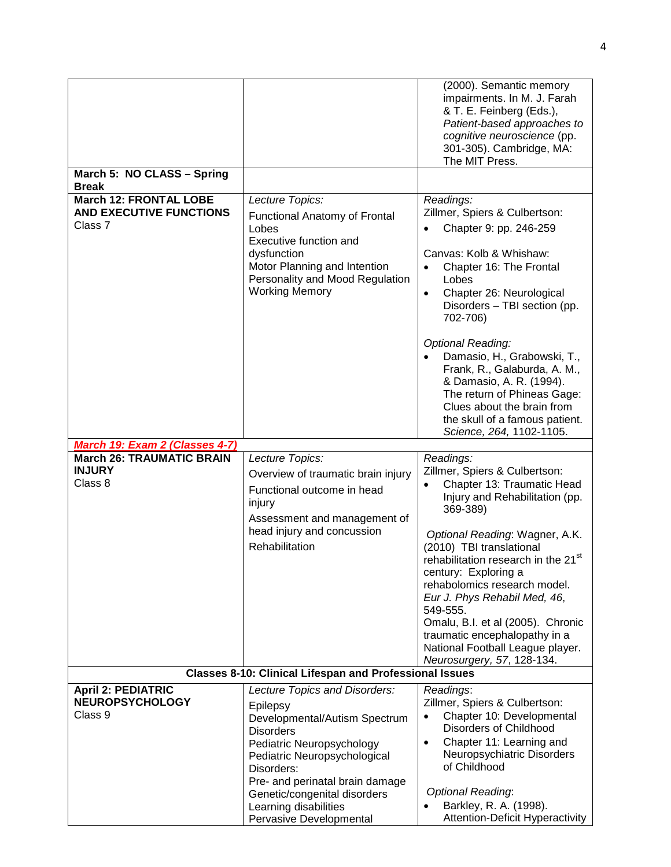| March 5: NO CLASS - Spring                                                 |                                                                                                                                                                                                       | (2000). Semantic memory<br>impairments. In M. J. Farah<br>& T. E. Feinberg (Eds.),<br>Patient-based approaches to<br>cognitive neuroscience (pp.<br>301-305). Cambridge, MA:<br>The MIT Press.                                                                                                                                                                                                                                                                                                   |
|----------------------------------------------------------------------------|-------------------------------------------------------------------------------------------------------------------------------------------------------------------------------------------------------|--------------------------------------------------------------------------------------------------------------------------------------------------------------------------------------------------------------------------------------------------------------------------------------------------------------------------------------------------------------------------------------------------------------------------------------------------------------------------------------------------|
| <b>Break</b>                                                               |                                                                                                                                                                                                       |                                                                                                                                                                                                                                                                                                                                                                                                                                                                                                  |
| <b>March 12: FRONTAL LOBE</b><br><b>AND EXECUTIVE FUNCTIONS</b><br>Class 7 | Lecture Topics:<br><b>Functional Anatomy of Frontal</b><br>Lobes<br>Executive function and<br>dysfunction<br>Motor Planning and Intention<br>Personality and Mood Regulation<br><b>Working Memory</b> | Readings:<br>Zillmer, Spiers & Culbertson:<br>Chapter 9: pp. 246-259<br>Canvas: Kolb & Whishaw:<br>Chapter 16: The Frontal<br>$\bullet$<br>Lobes<br>Chapter 26: Neurological<br>$\bullet$<br>Disorders - TBI section (pp.<br>702-706)                                                                                                                                                                                                                                                            |
|                                                                            |                                                                                                                                                                                                       | <b>Optional Reading:</b><br>Damasio, H., Grabowski, T.,<br>Frank, R., Galaburda, A. M.,<br>& Damasio, A. R. (1994).<br>The return of Phineas Gage:<br>Clues about the brain from<br>the skull of a famous patient.<br>Science, 264, 1102-1105.                                                                                                                                                                                                                                                   |
| March 19: Exam 2 (Classes 4-7)<br><b>March 26: TRAUMATIC BRAIN</b>         |                                                                                                                                                                                                       |                                                                                                                                                                                                                                                                                                                                                                                                                                                                                                  |
| <b>INJURY</b><br>Class 8                                                   | Lecture Topics:<br>Overview of traumatic brain injury<br>Functional outcome in head<br>injury<br>Assessment and management of<br>head injury and concussion<br>Rehabilitation                         | Readings:<br>Zillmer, Spiers & Culbertson:<br>Chapter 13: Traumatic Head<br>$\bullet$<br>Injury and Rehabilitation (pp.<br>369-389)<br>Optional Reading: Wagner, A.K.<br>(2010) TBI translational<br>rehabilitation research in the 21 <sup>st</sup><br>century: Exploring a<br>rehabolomics research model.<br>Eur J. Phys Rehabil Med, 46,<br>549-555.<br>Omalu, B.I. et al (2005). Chronic<br>traumatic encephalopathy in a<br>National Football League player.<br>Neurosurgery, 57, 128-134. |
|                                                                            | Classes 8-10: Clinical Lifespan and Professional Issues                                                                                                                                               |                                                                                                                                                                                                                                                                                                                                                                                                                                                                                                  |
| <b>April 2: PEDIATRIC</b>                                                  | Lecture Topics and Disorders:                                                                                                                                                                         | Readings:                                                                                                                                                                                                                                                                                                                                                                                                                                                                                        |
| <b>NEUROPSYCHOLOGY</b><br>Class 9                                          | Epilepsy<br>Developmental/Autism Spectrum<br><b>Disorders</b><br>Pediatric Neuropsychology<br>Pediatric Neuropsychological<br>Disorders:<br>Pre- and perinatal brain damage                           | Zillmer, Spiers & Culbertson:<br>Chapter 10: Developmental<br>Disorders of Childhood<br>Chapter 11: Learning and<br>$\bullet$<br>Neuropsychiatric Disorders<br>of Childhood                                                                                                                                                                                                                                                                                                                      |
|                                                                            | Genetic/congenital disorders<br>Learning disabilities                                                                                                                                                 | <b>Optional Reading:</b><br>Barkley, R. A. (1998).<br>$\bullet$<br>Attention-Deficit Hyperactivity                                                                                                                                                                                                                                                                                                                                                                                               |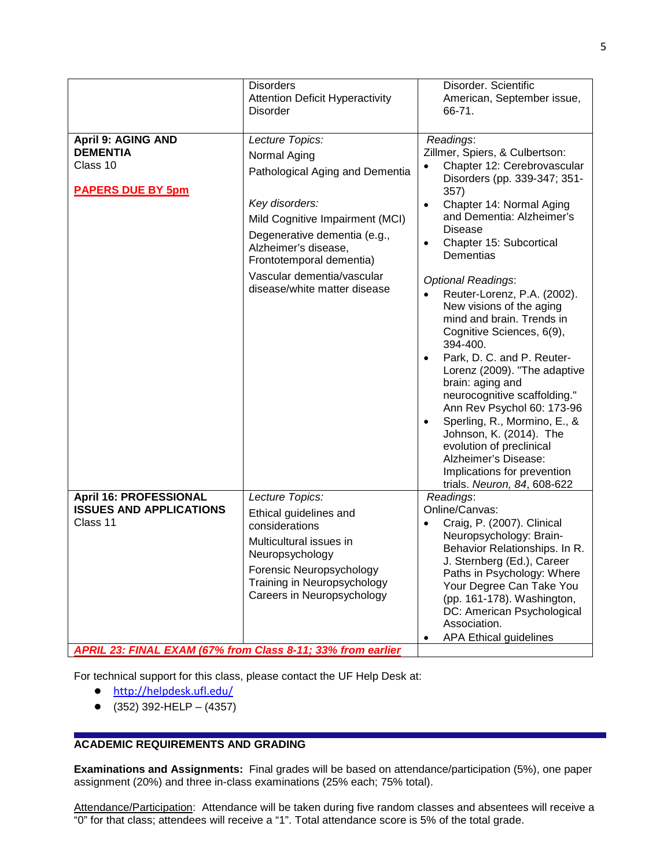|                                                                                                                                            | <b>Disorders</b><br><b>Attention Deficit Hyperactivity</b><br><b>Disorder</b>                                                                                                                                                                                             | Disorder. Scientific<br>American, September issue,<br>66-71.                                                                                                                                                                                                                                                                                                                                                                                                                         |
|--------------------------------------------------------------------------------------------------------------------------------------------|---------------------------------------------------------------------------------------------------------------------------------------------------------------------------------------------------------------------------------------------------------------------------|--------------------------------------------------------------------------------------------------------------------------------------------------------------------------------------------------------------------------------------------------------------------------------------------------------------------------------------------------------------------------------------------------------------------------------------------------------------------------------------|
| <b>April 9: AGING AND</b><br><b>DEMENTIA</b><br>Class 10<br><b>PAPERS DUE BY 5pm</b>                                                       | Lecture Topics:<br>Normal Aging<br>Pathological Aging and Dementia<br>Key disorders:<br>Mild Cognitive Impairment (MCI)<br>Degenerative dementia (e.g.,<br>Alzheimer's disease,<br>Frontotemporal dementia)<br>Vascular dementia/vascular<br>disease/white matter disease | Readings:<br>Zillmer, Spiers, & Culbertson:<br>Chapter 12: Cerebrovascular<br>$\bullet$<br>Disorders (pp. 339-347; 351-<br>357)<br>Chapter 14: Normal Aging<br>$\bullet$<br>and Dementia: Alzheimer's<br><b>Disease</b><br>Chapter 15: Subcortical<br>$\bullet$<br>Dementias<br><b>Optional Readings:</b>                                                                                                                                                                            |
|                                                                                                                                            |                                                                                                                                                                                                                                                                           | Reuter-Lorenz, P.A. (2002).<br>New visions of the aging<br>mind and brain. Trends in<br>Cognitive Sciences, 6(9),<br>394-400.<br>Park, D. C. and P. Reuter-<br>$\bullet$<br>Lorenz (2009). "The adaptive<br>brain: aging and<br>neurocognitive scaffolding."<br>Ann Rev Psychol 60: 173-96<br>Sperling, R., Mormino, E., &<br>$\bullet$<br>Johnson, K. (2014). The<br>evolution of preclinical<br>Alzheimer's Disease:<br>Implications for prevention<br>trials. Neuron, 84, 608-622 |
| <b>April 16: PROFESSIONAL</b><br><b>ISSUES AND APPLICATIONS</b><br>Class 11<br>APRIL 23: FINAL EXAM (67% from Class 8-11; 33% from earlier | Lecture Topics:<br>Ethical guidelines and<br>considerations<br>Multicultural issues in<br>Neuropsychology<br>Forensic Neuropsychology<br>Training in Neuropsychology<br>Careers in Neuropsychology                                                                        | Readings:<br>Online/Canvas:<br>Craig, P. (2007). Clinical<br>Neuropsychology: Brain-<br>Behavior Relationships. In R.<br>J. Sternberg (Ed.), Career<br>Paths in Psychology: Where<br>Your Degree Can Take You<br>(pp. 161-178). Washington,<br>DC: American Psychological<br>Association.<br><b>APA Ethical guidelines</b><br>٠                                                                                                                                                      |

For technical support for this class, please contact the UF Help Desk at:

- <http://helpdesk.ufl.edu/>
- $\bullet$  (352) 392-HELP (4357)

# **ACADEMIC REQUIREMENTS AND GRADING**

**Examinations and Assignments:** Final grades will be based on attendance/participation (5%), one paper assignment (20%) and three in-class examinations (25% each; 75% total).

Attendance/Participation: Attendance will be taken during five random classes and absentees will receive a "0" for that class; attendees will receive a "1". Total attendance score is 5% of the total grade.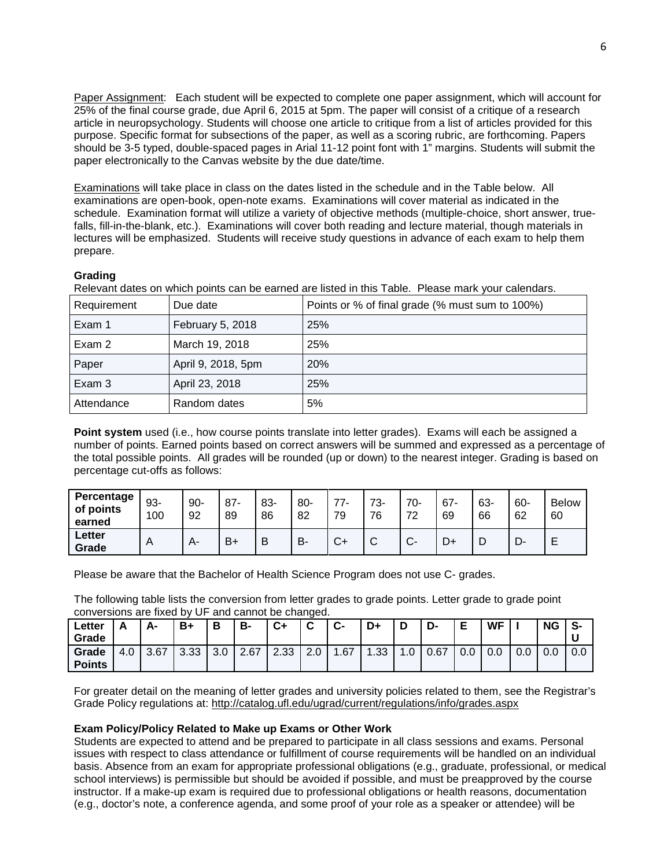Paper Assignment: Each student will be expected to complete one paper assignment, which will account for 25% of the final course grade, due April 6, 2015 at 5pm. The paper will consist of a critique of a research article in neuropsychology. Students will choose one article to critique from a list of articles provided for this purpose. Specific format for subsections of the paper, as well as a scoring rubric, are forthcoming. Papers should be 3-5 typed, double-spaced pages in Arial 11-12 point font with 1" margins. Students will submit the paper electronically to the Canvas website by the due date/time.

Examinations will take place in class on the dates listed in the schedule and in the Table below. All examinations are open-book, open-note exams. Examinations will cover material as indicated in the schedule. Examination format will utilize a variety of objective methods (multiple-choice, short answer, truefalls, fill-in-the-blank, etc.). Examinations will cover both reading and lecture material, though materials in lectures will be emphasized. Students will receive study questions in advance of each exam to help them prepare.

## **Grading**

Relevant dates on which points can be earned are listed in this Table. Please mark your calendars.

| Requirement | Due date           | Points or % of final grade (% must sum to 100%) |
|-------------|--------------------|-------------------------------------------------|
| Exam 1      | February 5, 2018   | 25%                                             |
| Exam 2      | March 19, 2018     | 25%                                             |
| Paper       | April 9, 2018, 5pm | 20%                                             |
| Exam 3      | April 23, 2018     | 25%                                             |
| Attendance  | Random dates       | 5%                                              |

**Point system** used (i.e., how course points translate into letter grades). Exams will each be assigned a number of points. Earned points based on correct answers will be summed and expressed as a percentage of the total possible points. All grades will be rounded (up or down) to the nearest integer. Grading is based on percentage cut-offs as follows:

| Percentage<br>of points<br>earned | 93-<br>100   | $90 -$<br>92 | $87 -$<br>89 | 83-<br>86 | $80 -$<br>82 | $77-$<br>79  | 73-<br>76 | 70-<br>72 | 67<br>69 | 63-<br>66 | 60-<br>62 | <b>Below</b><br>60 |
|-----------------------------------|--------------|--------------|--------------|-----------|--------------|--------------|-----------|-----------|----------|-----------|-----------|--------------------|
| ∟etter<br>Grade                   | $\mathsf{A}$ | А-           | $B+$         | В         | В.           | $\sim$<br>◡⊣ | ⌒<br>ັ    | $\sim$    |          | ◡         |           | −                  |

Please be aware that the Bachelor of Health Science Program does not use C- grades.

The following table lists the conversion from letter grades to grade points. Letter grade to grade point conversions are fixed by UF and cannot be changed.

| ∟etter        |     | Δ.   | B+   | В   | В-   | C+   | ◠<br>ັ | $\sim$<br>∾ | D+                     |                        | -ט   | F<br>► | <b>WF</b> |     | <b>NG</b> | -S- |
|---------------|-----|------|------|-----|------|------|--------|-------------|------------------------|------------------------|------|--------|-----------|-----|-----------|-----|
| Grade         |     |      |      |     |      |      |        |             |                        |                        |      |        |           |     |           | u   |
| Grade         | 4.0 | 3.67 | 3.33 | 3.0 | 2.67 | 2.33 | 2.0    | 1.67        | 1.33<br>$\overline{ }$ | .0.1<br>$\overline{ }$ | 0.67 | 0.0    | 0.0       | 0.0 | 0.0       | 0.0 |
| <b>Points</b> |     |      |      |     |      |      |        |             |                        |                        |      |        |           |     |           |     |

For greater detail on the meaning of letter grades and university policies related to them, see the Registrar's Grade Policy regulations at: <http://catalog.ufl.edu/ugrad/current/regulations/info/grades.aspx>

### **Exam Policy/Policy Related to Make up Exams or Other Work**

Students are expected to attend and be prepared to participate in all class sessions and exams. Personal issues with respect to class attendance or fulfillment of course requirements will be handled on an individual basis. Absence from an exam for appropriate professional obligations (e.g., graduate, professional, or medical school interviews) is permissible but should be avoided if possible, and must be preapproved by the course instructor. If a make-up exam is required due to professional obligations or health reasons, documentation (e.g., doctor's note, a conference agenda, and some proof of your role as a speaker or attendee) will be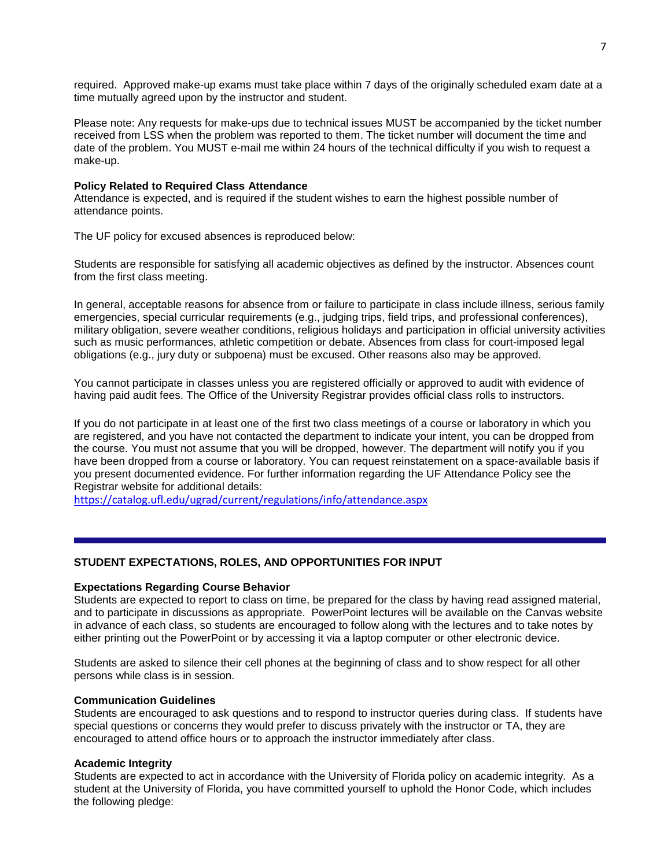required. Approved make-up exams must take place within 7 days of the originally scheduled exam date at a time mutually agreed upon by the instructor and student.

Please note: Any requests for make-ups due to technical issues MUST be accompanied by the ticket number received from LSS when the problem was reported to them. The ticket number will document the time and date of the problem. You MUST e-mail me within 24 hours of the technical difficulty if you wish to request a make-up.

#### **Policy Related to Required Class Attendance**

Attendance is expected, and is required if the student wishes to earn the highest possible number of attendance points.

The UF policy for excused absences is reproduced below:

Students are responsible for satisfying all academic objectives as defined by the instructor. Absences count from the first class meeting.

In general, acceptable reasons for absence from or failure to participate in class include illness, serious family emergencies, special curricular requirements (e.g., judging trips, field trips, and professional conferences), military obligation, severe weather conditions, religious holidays and participation in official university activities such as music performances, athletic competition or debate. Absences from class for court-imposed legal obligations (e.g., jury duty or subpoena) must be excused. Other reasons also may be approved.

You cannot participate in classes unless you are registered officially or approved to audit with evidence of having paid audit fees. The Office of the University Registrar provides official class rolls to instructors.

If you do not participate in at least one of the first two class meetings of a course or laboratory in which you are registered, and you have not contacted the department to indicate your intent, you can be dropped from the course. You must not assume that you will be dropped, however. The department will notify you if you have been dropped from a course or laboratory. You can request reinstatement on a space-available basis if you present documented evidence. For further information regarding the UF Attendance Policy see the Registrar website for additional details:

<https://catalog.ufl.edu/ugrad/current/regulations/info/attendance.aspx>

### **STUDENT EXPECTATIONS, ROLES, AND OPPORTUNITIES FOR INPUT**

#### **Expectations Regarding Course Behavior**

Students are expected to report to class on time, be prepared for the class by having read assigned material, and to participate in discussions as appropriate. PowerPoint lectures will be available on the Canvas website in advance of each class, so students are encouraged to follow along with the lectures and to take notes by either printing out the PowerPoint or by accessing it via a laptop computer or other electronic device.

Students are asked to silence their cell phones at the beginning of class and to show respect for all other persons while class is in session.

#### **Communication Guidelines**

Students are encouraged to ask questions and to respond to instructor queries during class. If students have special questions or concerns they would prefer to discuss privately with the instructor or TA, they are encouraged to attend office hours or to approach the instructor immediately after class.

#### **Academic Integrity**

Students are expected to act in accordance with the University of Florida policy on academic integrity. As a student at the University of Florida, you have committed yourself to uphold the Honor Code, which includes the following pledge: